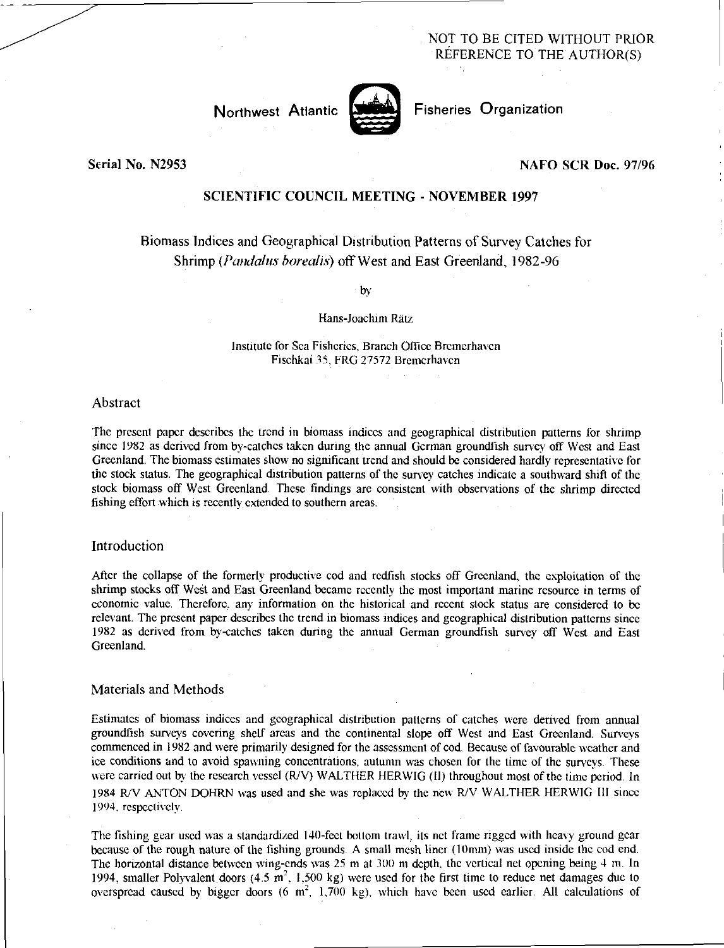NOT TO BE CITED WITHOUT PRIOR REFERENCE TO THE AUTHOR(S)



Fisheries Organization

Serial No. N2953

#### NAFO SCR Doc. 97/96

# SCIENTIFIC COUNCIL MEETING - NOVEMBER 1997

# Biomass Indices and Geographical Distribution Patterns of Survey Catches for Shrimp *(Fondahis borealis)* off West and East Greenland, 1982-96

by

#### Hans-Joachim Raiz

#### Institute for Sea Fisheries, Branch Office Bremerhaven Fischkai 35, FRG 27572 Bremerhaven

#### Abstract

The present paper describes the trend in biomass indices and geographical distribution patterns for shrimp since 1982 as derived from by-catches taken during the annual German groundfish survey off West and East Greenland. The biomass estimates show no significant trend and should be considered hardly representative for the stock status. The geographical distribution patterns of the survey catches indicate a southward shift of the stock biomass off West Greenland. These findings are consistent with observations of the shrimp directed fishing effort which is recently extended to southern areas.

#### Introduction

After the collapse of the formerly productive cod and redfish stocks off Greenland, the exploitation of the shrimp stocks off West and East Greenland became recently the most important marine resource in terms of economic value. Therefore, any information on the historical and recent stock status are considered to be relevant. The present paper describes the trend in biomass indices and geographical distribution patterns since 1982 as derived from by-catches taken during the annual German groundfish survey off West and East Greenland.

## Materials and Methods

Estimates of biomass indices and geographical distribution patterns of catches were derived from annual groundfish surveys covering shelf areas and the continental slope off West and East Greenland. Surveys commenced in 1982 and were primarily designed for the assessment of cod. Because of favourable weather and ice conditions and to avoid spawning concentrations, autumn was chosen for the time of the surveys. These were carried out by the research vessel (R/V) WALTHER HERWIG (II) throughout most of the time period. In 1984 WV ANTON DOHRN was used and she was replaced by the new R/V WALTHER HERWIG III since 1994. respectively.

The fishing gear used was a standardized 140-feet bottom trawl, its net frame rigged with heavy ground gear because of the rough nature of the fishing grounds. A small mesh liner (10mm) was used inside the cod end. The horizontal distance between wing-ends was  $25 \text{ m}$  at  $300 \text{ m}$  depth, the vertical net opening being  $4 \text{ m}$ . In 1994, smaller Polyvalent doors (4.5  $\text{m}^2$ , 1,500 kg) were used for the first time to reduce net damages due to overspread caused by bigger doors (6  $m^2$ , 1,700 kg), which have been used earlier. All calculations of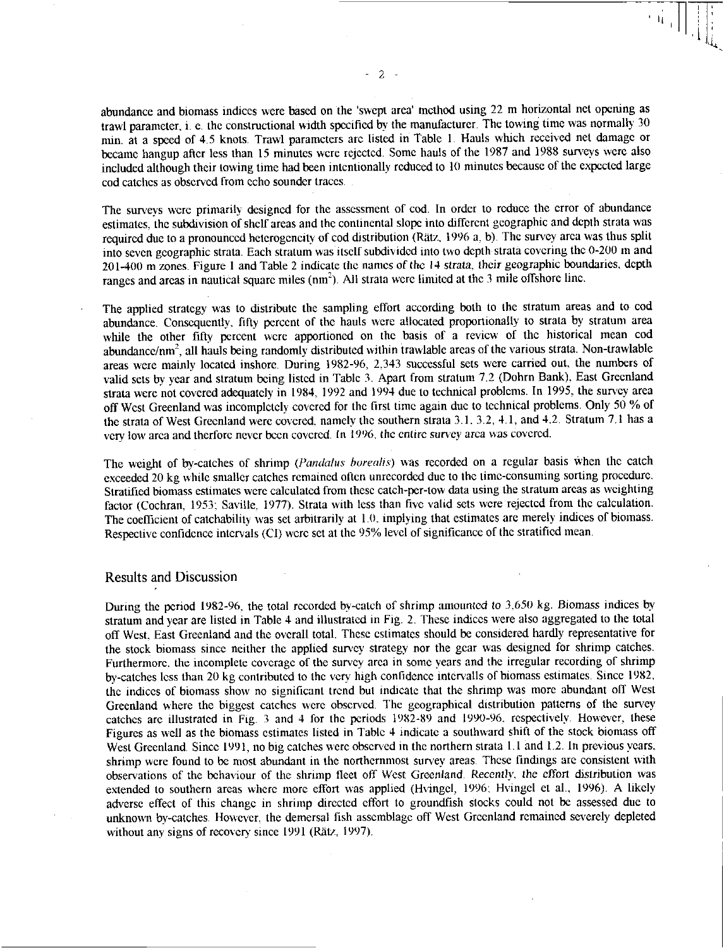abundance and biomass indices were based on the 'swept area' method using 22 m horizontal net opening as trawl parameter, i. e. the constructional width specified by the manufacturer. The towing time was normally 30 min. at a speed of 4.5 knots. Trawl parameters are listed in Table 1. Hauls which received net damage or became hangup after less than 15 minutes were rejected. Some hauls of the 1987 and 1988 surveys were also included although their towing time had been intentionally reduced to 10 minutes because of the expected large cod catches as observed from echo sounder traces.

The surveys were primarily designed for the assessment of cod. In order to reduce the error of abundance estimates, the subdivision of shelf areas and the continental slope into different geographic and depth strata was required due to a pronounced heterogeneity of cod distribution (Rätz, 1996 a, b). The survey area was thus split into seven geographic strata. Each stratum was itself subdivided into two depth strata covering the 0-200 in and 201-400 m zones. Figure 1 and Table 2 indicate the names of the *14* strata, their geographic boundaries, depth ranges and areas in nautical square miles (nm<sup>2</sup>). All strata were limited at the 3 mile offshore line.

The applied strategy was to distribute the sampling effort according both to the stratum areas and to cod abundance. Consequently, fifty percent of the hauls were allocated proportionally to strata by stratum area while the other fifty percent were apportioned on the basis of a review of the historical mean cod abundance/nm<sup>2</sup>, all hauls being randomly distributed within trawlable areas of the various strata. Non-trawlable areas were mainly located inshore. During 1982-96, 2.343 successful sets were carried out, the numbers of valid sets by year and stratum being listed in Table 3. Apart from stratum 7.2 (Dohrn Bank), East Greenland strata were not covered adequately in 1984, 1992 and 1994 due to technical problems. In 1995, the survey area off West Greenland was incompletely covered for the first time again due to technical problems. Only 50 % of the strata of West Greenland were covered, namely the southern strata 3.1. 3.2, 4.1, and 4.2. Stratum 7.1 has a very low area and therfore never been covered. In 1996, the entire survey area was covered.

The weight of by-catches of shrimp *(Yandalus borealis)* was recorded on a regular basis when the catch exceeded 20 kg while smaller catches remained often unrecorded due to the time-consuming sorting procedure. Stratified biomass estimates were calculated from these catch-per-tow data using the stratum areas as weighting factor (Cochran, 1953: Saville, 1977). Strata with less than five valid sets were rejected from the calculation. The coefficient of catchability was set arbitrarily at 1.0, implying that estimates are merely indices of biomass. Respective confidence intervals (CI) were set at the 95% level of significance of the stratified mean.

## Results and Discussion

During the period 1982-96, the total recorded by-catch of shrimp amounted to 3,650 kg. Biomass indices by stratum and year are listed in Table 4 and illustrated in Fig. 2. These indices were also aggregated to the total off West, East Greenland and the overall total. These estimates should be considered hardly representative for the stock biomass since neither the applied survey strategy nor the gear was designed for shrimp catches. Furthermore, the incomplete coverage of the survey area in some years and the irregular recording of shrimp by-catches less than 20 kg contributed to the very high confidence intervalls of biomass estimates. Since 1982, the indices of biomass show no significant trend but indicate that the shrimp was more abundant off West Greenland where the biggest catches were observed. The geographical distribution patterns of the survey catches are illustrated in Fig. 3 and 4 for the periods 1982-89 and 1990-96, respectively. However, these Figures as well as the biomass estimates listed in Table 4 indicate a southward shift of the stock biomass off West Greenland. Since 1991, no big catches were observed in the northern strata 1.1 and 1.2. In previous years, shrimp were found to be most abundant in the northernmost survey areas. These findings are consistent with observations of the behaviour of the shrimp fleet off West Greenland. *Recently,* the effort distribution was extended to southern areas where more effort was applied (Hvingcl, 1996: Hvingel et al., 1996). A likely adverse effect of this change in shrimp directed effort to groundish stocks could not be assessed due to unknown by-catches. However. the demersal fish assemblage off West Greenland remained severely depleted without any signs of recovery since 1991 (Rätz, 1997).

 $\begin{picture}(20,20) \put(0,0){\line(1,0){10}} \put(15,0){\line(1,0){10}} \put(15,0){\line(1,0){10}} \put(15,0){\line(1,0){10}} \put(15,0){\line(1,0){10}} \put(15,0){\line(1,0){10}} \put(15,0){\line(1,0){10}} \put(15,0){\line(1,0){10}} \put(15,0){\line(1,0){10}} \put(15,0){\line(1,0){10}} \put(15,0){\line(1,0){10}} \put(15,0){\line(1$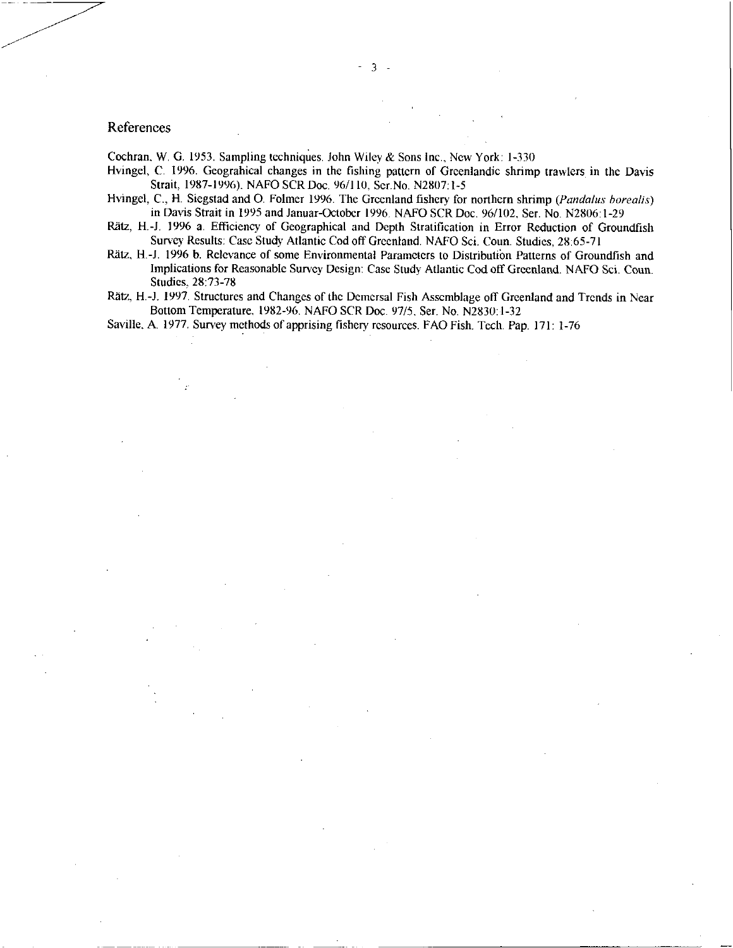# References

Cochran, W. G. 1953. Sampling techniques. John Wiley & Sons Inc., New York: 1-330

- Hvingel, C. 1996. Geograhical changes in the fishing pattern of Greenlandic shrimp trawlers in the Davis Strait, 1987-1996). NAFO SCR Doc. 96/110. Ser.No. N2807:1-5
- Hvingel, C., H. Siegstad and O. Folmer 1996. The Greenland fishery for northern shrimp *(Pandalus borealis)* in Davis Strait in 1995 and Januar-October 1996. NAFO SCR Doc. 96/102, Ser. No. N2806:1-29
- Rätz, H.-J. 1996 a. Efficiency of Geographical and Depth Stratification in Error Reduction of Groundfish Survey Results: Case Study Atlantic Cod off Greenland. NAFO Sci. Coun. Studies, 28:65-71
- Rätz, H.-J. 1996 b. Relevance of some Environmental Parameters to Distribution Patterns of Groundfish and Implications for Reasonable Survey Design: Case Study Atlantic Cod off Greenland. NAFO Sci. Coun. Studies. 28:73-78
- Rätz, H.-J. 1997. Structures and Changes of the Demersal Fish Assemblage off Greenland and Trends in Near Bottom Temperature, 1982-96. NAFO SCR Doc. 97/5, Ser. No. N2830:1-32

Saville, A. 1977. Survey methods of apprising fishery resources. FAO Fish. Tech. Pap. 171: 1-76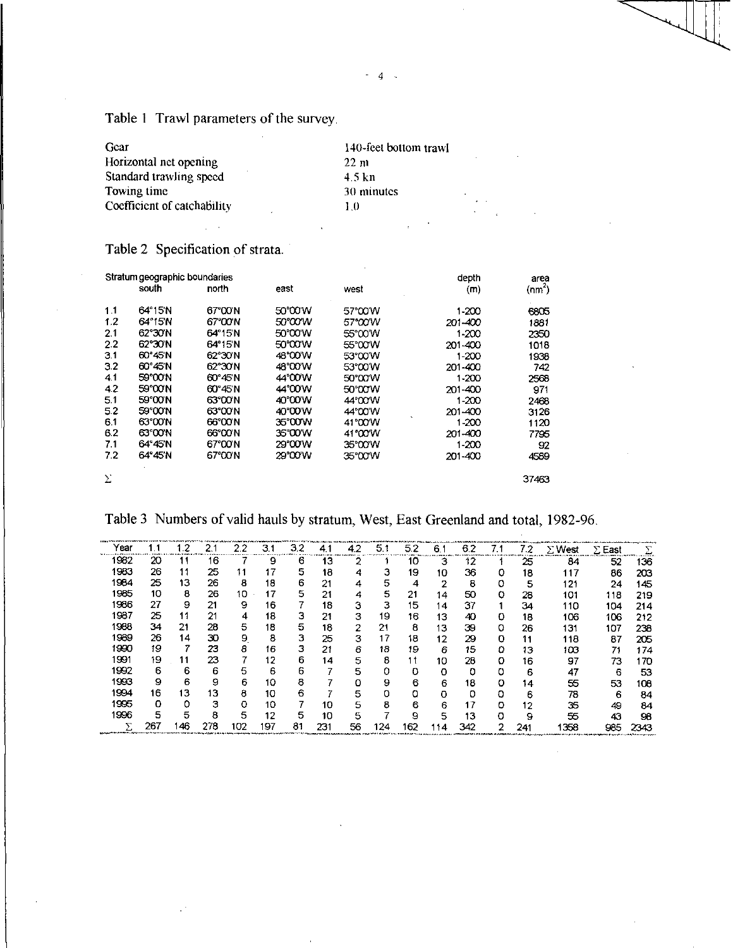Table 1 Trawl parameters of the survey

 $\bar{z}$  $\mathbb{Z}^2$ 

| Gear                        | 140-feet bottom trawl |
|-----------------------------|-----------------------|
| Horizontal net opening      | 22 <sub>m</sub>       |
| Standard trawling speed     | 4.5 kn                |
| Towing time                 | 30 minutes            |
| Coefficient of catchability | 1.0                   |

Table 2 Specification of strata.

|     | Stratum geographic boundaries |         |         |         | depth     | area     |
|-----|-------------------------------|---------|---------|---------|-----------|----------|
|     | south                         | north   | east    | west    | (m)       | $(nm^2)$ |
| 1.1 | 64°15'N                       | 67°00'N | 50°00'W | 57°00'W | 1-200     | 6805     |
| 1.2 | 64°15'N                       | 67°00'N | 50°OO'W | 57°00'W | 201-400   | 1881     |
| 2.1 | 62°30'N                       | 64°15'N | 50°00'W | 55°00'W | $1 - 200$ | 2350     |
| 2.2 | 62°30'N                       | 64°15'N | 50°00'W | 55°00'W | 201-400   | 1018     |
| 3.1 | 60°45′N                       | 62°30'N | 48°00'W | 53°00'W | 1-200     | 1938     |
| 3.2 | 60°45'N                       | 62°30'N | 48°00'W | 53°00'W | 201-400   | 742      |
| 4.1 | 59°00'N                       | 60°45N  | 44°00'W | 50°00'W | $1 - 200$ | 2568     |
| 4.2 | 59°00'N                       | 60°45'N | 44°00'W | 50°00'W | 201-400   | 971      |
| 5.1 | 59°00'N                       | 63°00'N | 40°00'W | 44°00'W | $1 - 200$ | 2468     |
| 5.2 | 59°00'N                       | 63°00'N | 40°00'W | 44°00'W | 201-400   | 3126     |
| 6.1 | 63°00′N                       | 66°00'N | 35'00W  | 41°00'W | $1 - 200$ | 1120     |
| 6.2 | 63°00'N                       | 66°00'N | 35'00'W | 41°00'W | 201-400   | 7795     |
| 7.1 | 64°45'N                       | 67°00'N | 29°00′W | 35°00'W | $1 - 200$ | 92       |
| 7.2 | 64°45'N                       | 67°00′N | 29°00′W | 35°00'W | 201-400   | 4589     |
| Σ   |                               |         |         |         |           | 37463    |

Table 3 Numbers of valid hauls by stratum, West, East Greenland and total, 1982-96.

|      |     |    |     |     |     |    |     |     | <b>Annual Property of the Company of the Company of the Company of the Company of the Company of the Company of T</b> |     |     |     |     |     | was a more of a first intended above more made of the collect 19.000 more as a standard and and the company and a standard company more more and |               |      |
|------|-----|----|-----|-----|-----|----|-----|-----|-----------------------------------------------------------------------------------------------------------------------|-----|-----|-----|-----|-----|--------------------------------------------------------------------------------------------------------------------------------------------------|---------------|------|
| rear |     |    |     | 2.2 | 3.1 | 32 | 4.1 | 4.2 | 51                                                                                                                    | 5.2 | 6.1 | 62  | 7.1 | 7.2 | $\Sigma$ West                                                                                                                                    | $\Sigma$ East |      |
| 1982 | 20  |    | 16  |     | 9   | 6  | 13  | ີ   |                                                                                                                       | 10  | 3   | 12  |     | 25  | 84                                                                                                                                               | 52            | 136  |
| 1983 | 26  | 11 | 25  |     |     | 5  | 18  | 4   | з                                                                                                                     | 19  | 10  | 36  | 0   | 18  | 117                                                                                                                                              | 86            | 203  |
| 1984 | 25  | 13 | 26  | 8   | 18  | 6  | 21  | 4   | 5                                                                                                                     | 4   | ◠   | 8   | o   | 5   | 121                                                                                                                                              | 24            | 145  |
| 1985 | 10  | 8  | 26  | 10  | 17  | 5  | 21  | 4   | 5                                                                                                                     | 21  | 14  | 50  | ο   | 28  | 101                                                                                                                                              | 118           | 219  |
| 1986 | 27  | 9  | 21  | 9   | 16  |    | 18  | з   | З                                                                                                                     | 15  | 14  | 37  |     | 34  | 110                                                                                                                                              | 104           | 214  |
| 1987 | 25  | 11 | 21  | 4   | 18  | з  | 21  | з   | 19                                                                                                                    | 16  | 13  | 40  | 0   | 18  | 106                                                                                                                                              | 106           | 212  |
| 1988 | 34  | 21 | 28  | 5   | 18  | 5  | 18  | 2   | 21                                                                                                                    | 8   | 13  | 39  | 0   | 26  | 131                                                                                                                                              | 107           | 238  |
| 1989 | 26  | 14 | 30  | 9   | 8   | 3  | 25  | з   | 17                                                                                                                    | 18  | 12  | 29  | 0   | 11  | 118                                                                                                                                              | 87            | 205  |
| 1990 | 19  |    | 23  | 8   | 16  | 3  | 21  | 6   | 18                                                                                                                    | 19  | 6   | 15  | o   | 13  | 103                                                                                                                                              | 71            | 174  |
| 1991 | 19  | 11 | 23  |     | 12  | 6  | 14  | 5   | 8                                                                                                                     |     | 10  | 28  | 0   | 16  | 97                                                                                                                                               | 73            | 170  |
| 1992 | 6   | 6  | 6   | 5   | 6   | 6  |     | 5   | 0                                                                                                                     | o   | 0   | ٥   |     | 6   | 47                                                                                                                                               | 6             | 53   |
| 1993 | 9   | 6  | 9   | 6   | 10  | 8  |     | 0   | 9                                                                                                                     | 6   | 6   | 18  | o   | 14  | 55                                                                                                                                               | 53            | 108  |
| 1994 | 16  | 13 | 13  | 8   | 10  | 6  |     | 5   | 0                                                                                                                     | o   | o   | 0   | o   | 6   | 78                                                                                                                                               | 6             | 84   |
| 1995 | O   | 0  | З   | o   | 10  |    | 10  | 5   | 8                                                                                                                     | 6   | 6   | 17  | o   | 12  | 35                                                                                                                                               | 49            | 84   |
| 1996 | 5   | 5  | 8   | 5   | 12  | 5  | 10  | 5   |                                                                                                                       | 9   | 5   | 13  | O   | 9   | 55                                                                                                                                               | 43            | 98   |
|      | 267 | 46 | 278 | 102 | ۱97 | 81 | 231 | 56  | 124                                                                                                                   | 162 | 14  | 342 | າ   | 241 | 358                                                                                                                                              | 985           | 2343 |

*4 -*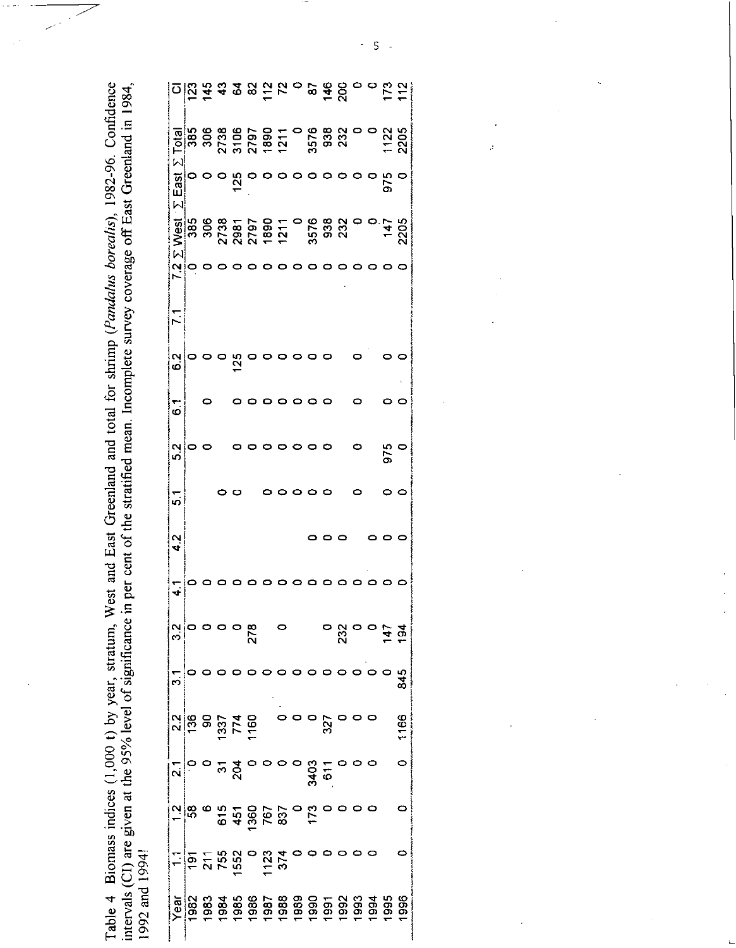Table 4 Biomass indices (1,000 t) by year, stratum, West and East Greenland and total for shrimp (*Pandalus borealis*), 1982-96. Confidence<br>intervals (CI) are given at the 95% level of significance in per cent of the strat

|                 |                              |  |                 | <u>០នៃ <del>ក្ន</del>ុង ឧទ្យកដូ</u> ក្នុង ១៩ គី ទី ១ ១ ដូ ភ្ន                                                                                                                                                                                                                                                                                                                                                                                                                                                    |         |         |         |                                                 |   |               |     |
|-----------------|------------------------------|--|-----------------|------------------------------------------------------------------------------------------------------------------------------------------------------------------------------------------------------------------------------------------------------------------------------------------------------------------------------------------------------------------------------------------------------------------------------------------------------------------------------------------------------------------|---------|---------|---------|-------------------------------------------------|---|---------------|-----|
|                 |                              |  |                 |                                                                                                                                                                                                                                                                                                                                                                                                                                                                                                                  |         |         |         |                                                 |   |               |     |
|                 | $\Sigma$ East $\overline{0}$ |  | $\frac{125}{0}$ |                                                                                                                                                                                                                                                                                                                                                                                                                                                                                                                  |         | $\circ$ | $\circ$ | $\circ$ $\circ$                                 |   | ဝ ပုံ ဝ<br>(၁ |     |
|                 |                              |  |                 |                                                                                                                                                                                                                                                                                                                                                                                                                                                                                                                  |         |         |         |                                                 |   |               |     |
| $\frac{1}{2}$ o |                              |  |                 |                                                                                                                                                                                                                                                                                                                                                                                                                                                                                                                  | $\circ$ |         |         |                                                 |   |               |     |
| $\mathbf{r}$    |                              |  |                 |                                                                                                                                                                                                                                                                                                                                                                                                                                                                                                                  |         |         |         |                                                 |   |               |     |
| $\frac{2}{5}$   |                              |  | $\frac{25}{2}$  |                                                                                                                                                                                                                                                                                                                                                                                                                                                                                                                  |         |         |         |                                                 |   |               |     |
| $\ddot{\circ}$  |                              |  |                 |                                                                                                                                                                                                                                                                                                                                                                                                                                                                                                                  |         |         |         |                                                 | 0 |               |     |
| ი<br>ი          |                              |  |                 |                                                                                                                                                                                                                                                                                                                                                                                                                                                                                                                  |         |         |         |                                                 | 0 | 975<br>0      |     |
| 57              |                              |  |                 |                                                                                                                                                                                                                                                                                                                                                                                                                                                                                                                  |         |         |         |                                                 |   |               |     |
| ر<br>4          |                              |  |                 |                                                                                                                                                                                                                                                                                                                                                                                                                                                                                                                  |         |         |         |                                                 |   |               |     |
| $\mathbf{f}$    |                              |  |                 |                                                                                                                                                                                                                                                                                                                                                                                                                                                                                                                  |         |         |         |                                                 |   |               |     |
|                 |                              |  |                 | $\overline{\phantom{a}}$                                                                                                                                                                                                                                                                                                                                                                                                                                                                                         |         |         |         | $\frac{5}{2}$<br>$\frac{5}{2}$<br>$\frac{5}{2}$ |   |               |     |
|                 |                              |  |                 | $\begin{array}{c}\n\hline\n\vdots \\ \hline\n\vdots \\ \hline\n\vdots \\ \hline\n\vdots \\ \hline\n\vdots \\ \hline\n\vdots \\ \hline\n\vdots \\ \hline\n\vdots \\ \hline\n\vdots \\ \hline\n\vdots \\ \hline\n\vdots \\ \hline\n\vdots \\ \hline\n\vdots \\ \hline\n\vdots \\ \hline\n\vdots \\ \hline\n\vdots \\ \hline\n\vdots \\ \hline\n\vdots \\ \hline\n\vdots \\ \hline\n\vdots \\ \hline\n\vdots \\ \hline\n\vdots \\ \hline\n\vdots \\ \hline\n\vdots \\ \hline\n\vdots \\ \hline\n\vdots \\ \hline\n$ |         |         |         |                                                 |   |               |     |
|                 |                              |  |                 |                                                                                                                                                                                                                                                                                                                                                                                                                                                                                                                  |         |         |         |                                                 |   |               | 166 |
|                 |                              |  |                 | $\frac{1}{2}$ $\frac{1}{2}$ $\frac{1}{2}$ $\frac{1}{2}$ $\frac{1}{2}$ $\frac{1}{2}$ $\frac{1}{2}$ $\frac{1}{2}$ $\frac{1}{2}$ $\frac{1}{2}$ $\frac{1}{2}$ $\frac{1}{2}$ $\frac{1}{2}$                                                                                                                                                                                                                                                                                                                            |         |         |         |                                                 |   |               |     |
|                 |                              |  |                 | $\frac{1}{2}$ $\frac{1}{8}$ $\frac{1}{8}$ $\frac{1}{6}$ $\frac{1}{4}$ $\frac{1}{8}$ $\frac{1}{8}$ $\frac{1}{8}$ $\frac{1}{8}$ $\frac{1}{8}$ $\frac{1}{8}$ $\frac{1}{8}$ $\frac{1}{8}$ $\frac{1}{8}$ $\frac{1}{8}$ $\frac{1}{8}$ $\frac{1}{8}$ $\frac{1}{8}$ $\frac{1}{8}$ $\frac{1}{8}$ $\frac{1}{8}$ $\frac{1}{8}$                                                                                                                                                                                              |         |         |         |                                                 |   |               |     |
|                 |                              |  |                 | $\frac{1}{2}$ $\frac{1}{2}$ $\frac{1}{2}$ $\frac{1}{2}$ $\frac{1}{2}$ $\frac{1}{2}$ $\frac{1}{2}$ $\frac{1}{2}$ $\frac{1}{2}$ $\frac{1}{2}$ $\frac{1}{2}$ $\frac{1}{2}$ $\frac{1}{2}$ $\frac{1}{2}$                                                                                                                                                                                                                                                                                                              |         |         |         |                                                 |   |               | C   |
|                 |                              |  |                 |                                                                                                                                                                                                                                                                                                                                                                                                                                                                                                                  |         |         |         |                                                 |   |               |     |

 $\frac{1}{\sqrt{2}}$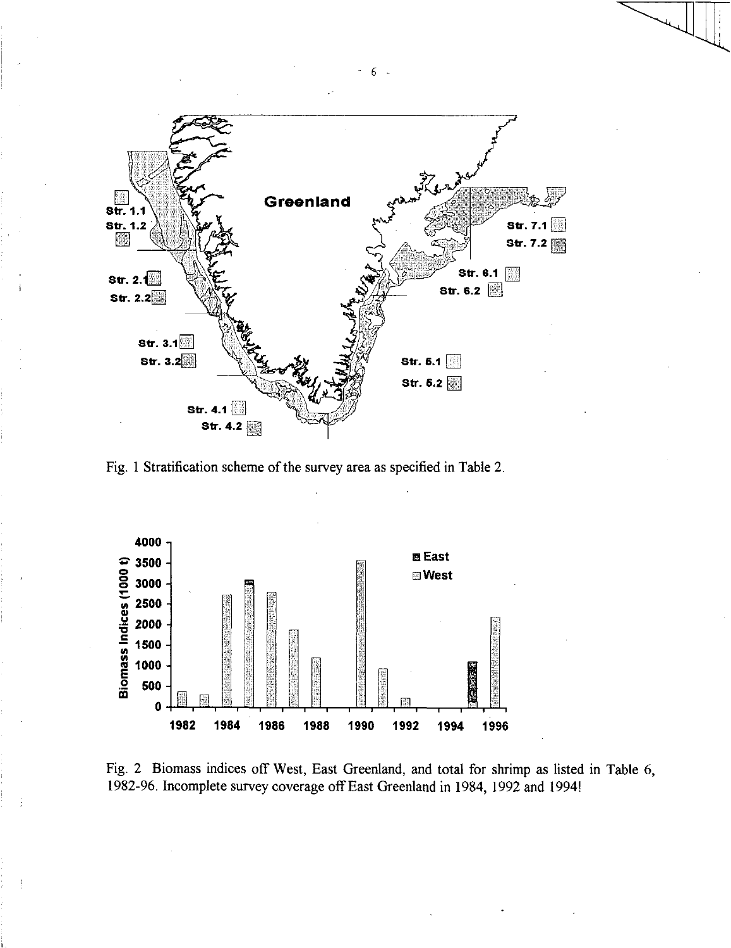

Fig. 1 Stratification scheme of the survey area as specified in Table 2.



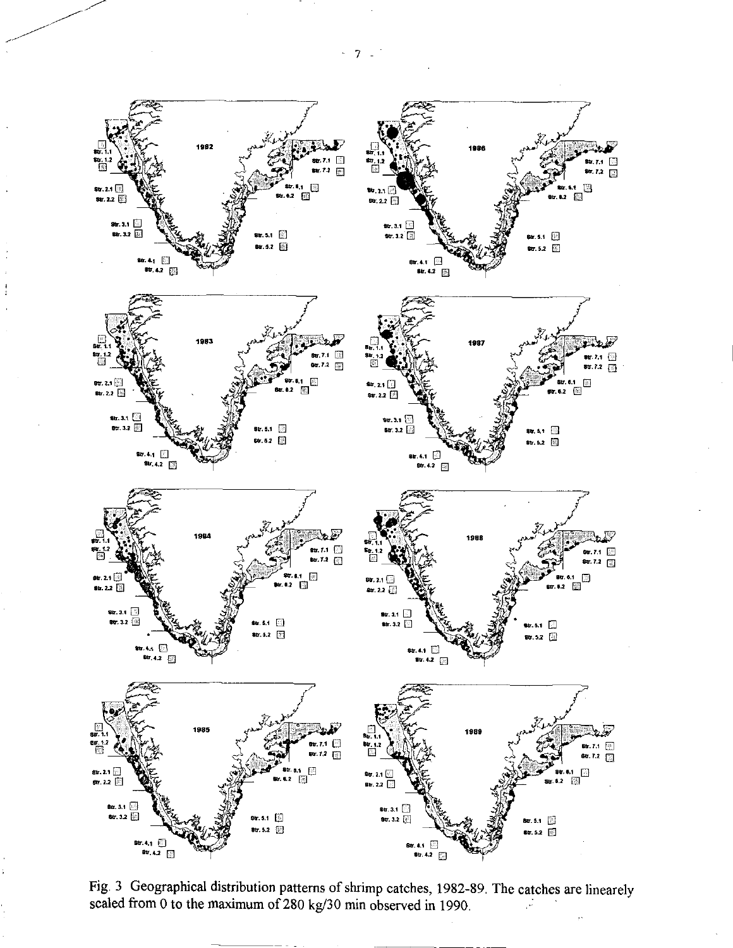

Fig. 3 Geographical distribution patterns of shrimp catches, 1982-89. The catches are linearely scaled from 0 to the maximum of 280 kg/30 min observed in 1990. ÿ.